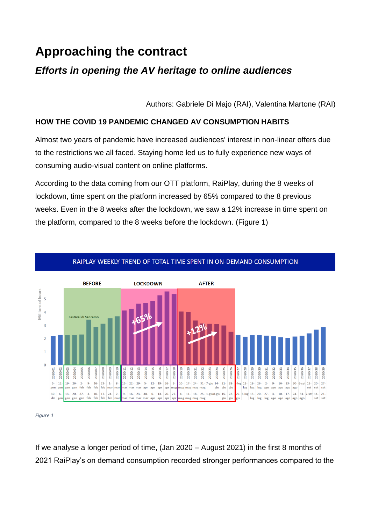# **Approaching the contract**

# *Efforts in opening the AV heritage to online audiences*

Authors: Gabriele Di Majo (RAI), Valentina Martone (RAI)

# **HOW THE COVID 19 PANDEMIC CHANGED AV CONSUMPTION HABITS**

Almost two years of pandemic have increased audiences' interest in non-linear offers due to the restrictions we all faced. Staying home led us to fully experience new ways of consuming audio-visual content on online platforms.

According to the data coming from our OTT platform, RaiPlay, during the 8 weeks of lockdown, time spent on the platform increased by 65% compared to the 8 previous weeks. Even in the 8 weeks after the lockdown, we saw a 12% increase in time spent on the platform, compared to the 8 weeks before the lockdown. (Figure 1)





*Figure 1*

If we analyse a longer period of time, (Jan 2020 – August 2021) in the first 8 months of 2021 RaiPlay's on demand consumption recorded stronger performances compared to the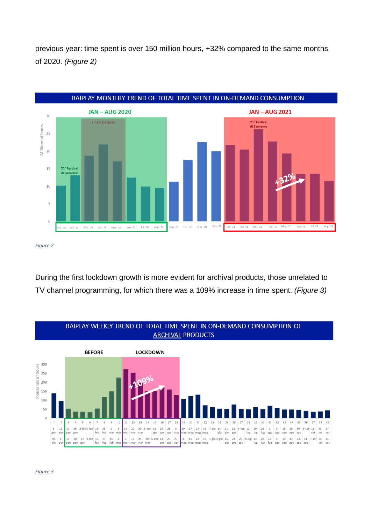previous year: time spent is over 150 million hours, +32% compared to the same months of 2020. *(Figure 2)*



*Figure 2*

During the first lockdown growth is more evident for archival products, those unrelated to TV channel programming, for which there was a 109% increase in time spent. *(Figure 3)*

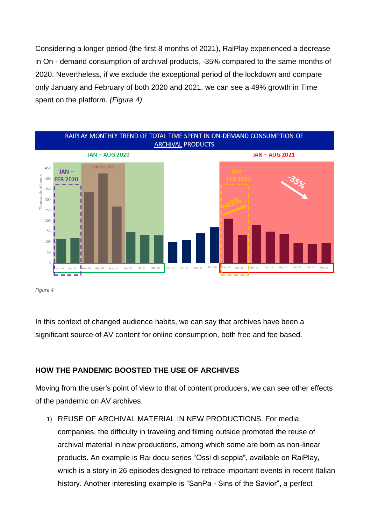Considering a longer period (the first 8 months of 2021), RaiPlay experienced a decrease in On - demand consumption of archival products, -35% compared to the same months of 2020. Nevertheless, if we exclude the exceptional period of the lockdown and compare only January and February of both 2020 and 2021, we can see a 49% growth in Time spent on the platform. *(Figure 4)*



*Figure 4*

In this context of changed audience habits, we can say that archives have been a significant source of AV content for online consumption, both free and fee based.

# **HOW THE PANDEMIC BOOSTED THE USE OF ARCHIVES**

Moving from the user's point of view to that of content producers, we can see other effects of the pandemic on AV archives.

1) REUSE OF ARCHIVAL MATERIAL IN NEW PRODUCTIONS. For media companies, the difficulty in traveling and filming outside promoted the reuse of archival material in new productions, among which some are born as non-linear products. An example is Rai docu-series "Ossi di seppia", available on RaiPlay, which is a story in 26 episodes designed to retrace important events in recent Italian history. Another interesting example is "SanPa - Sins of the Savior"**,** a perfect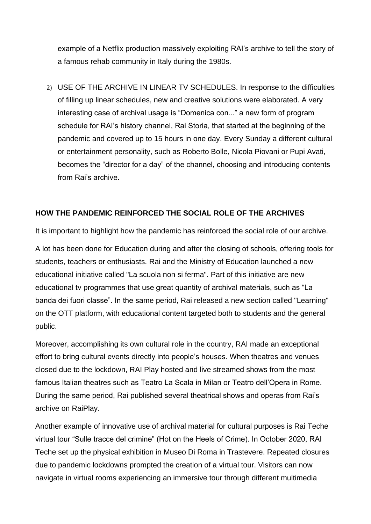example of a Netflix production massively exploiting RAI's archive to tell the story of a famous rehab community in Italy during the 1980s.

2) USE OF THE ARCHIVE IN LINEAR TV SCHEDULES. In response to the difficulties of filling up linear schedules, new and creative solutions were elaborated. A very interesting case of archival usage is "Domenica con..." a new form of program schedule for RAI's history channel, Rai Storia, that started at the beginning of the pandemic and covered up to 15 hours in one day. Every Sunday a different cultural or entertainment personality, such as Roberto Bolle, Nicola Piovani or Pupi Avati, becomes the "director for a day" of the channel, choosing and introducing contents from Rai's archive.

#### **HOW THE PANDEMIC REINFORCED THE SOCIAL ROLE OF THE ARCHIVES**

It is important to highlight how the pandemic has reinforced the social role of our archive.

A lot has been done for Education during and after the closing of schools, offering tools for students, teachers or enthusiasts. Rai and the Ministry of Education launched a new educational initiative called "La scuola non si ferma". Part of this initiative are new educational tv programmes that use great quantity of archival materials, such as "La banda dei fuori classe". In the same period, Rai released a new section called "Learning" on the OTT platform, with educational content targeted both to students and the general public.

Moreover, accomplishing its own cultural role in the country, RAI made an exceptional effort to bring cultural events directly into people's houses. When theatres and venues closed due to the lockdown, RAI Play hosted and live streamed shows from the most famous Italian theatres such as Teatro La Scala in Milan or Teatro dell'Opera in Rome. During the same period, Rai published several theatrical shows and operas from Rai's archive on RaiPlay.

Another example of innovative use of archival material for cultural purposes is Rai Teche virtual tour "Sulle tracce del crimine" (Hot on the Heels of Crime). In October 2020, RAI Teche set up the physical exhibition in Museo Di Roma in Trastevere. Repeated closures due to pandemic lockdowns prompted the creation of a virtual tour. Visitors can now navigate in virtual rooms experiencing an immersive tour through different multimedia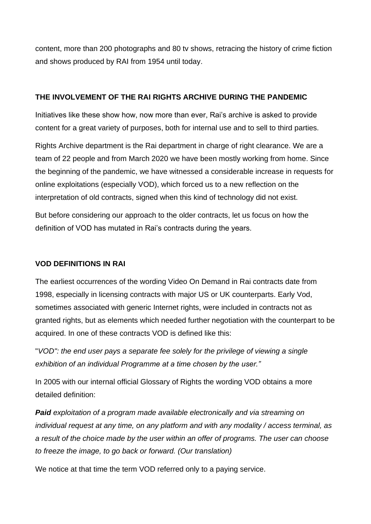content, more than 200 photographs and 80 tv shows, retracing the history of crime fiction and shows produced by RAI from 1954 until today.

#### **THE INVOLVEMENT OF THE RAI RIGHTS ARCHIVE DURING THE PANDEMIC**

Initiatives like these show how, now more than ever, Rai's archive is asked to provide content for a great variety of purposes, both for internal use and to sell to third parties.

Rights Archive department is the Rai department in charge of right clearance. We are a team of 22 people and from March 2020 we have been mostly working from home. Since the beginning of the pandemic, we have witnessed a considerable increase in requests for online exploitations (especially VOD), which forced us to a new reflection on the interpretation of old contracts, signed when this kind of technology did not exist.

But before considering our approach to the older contracts, let us focus on how the definition of VOD has mutated in Rai's contracts during the years.

#### **VOD DEFINITIONS IN RAI**

The earliest occurrences of the wording Video On Demand in Rai contracts date from 1998, especially in licensing contracts with major US or UK counterparts. Early Vod, sometimes associated with generic Internet rights, were included in contracts not as granted rights, but as elements which needed further negotiation with the counterpart to be acquired. In one of these contracts VOD is defined like this:

"*VOD": the end user pays a separate fee solely for the privilege of viewing a single exhibition of an individual Programme at a time chosen by the user."*

In 2005 with our internal official Glossary of Rights the wording VOD obtains a more detailed definition:

*Paid exploitation of a program made available electronically and via streaming on individual request at any time, on any platform and with any modality / access terminal, as a result of the choice made by the user within an offer of programs. The user can choose to freeze the image, to go back or forward. (Our translation)*

We notice at that time the term VOD referred only to a paying service.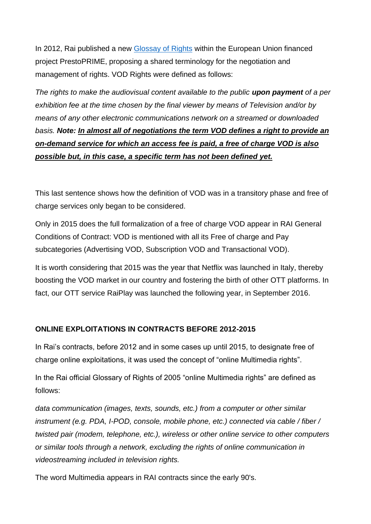In 2012, Rai published a new [Glossay of Rights](https://library.avanet.nl/glossary-of-rights/) within the European Union financed project PrestoPRIME, proposing a shared terminology for the negotiation and management of rights. VOD Rights were defined as follows:

*The rights to make the audiovisual content available to the public upon payment of a per exhibition fee at the time chosen by the final viewer by means of Television and/or by means of any other electronic communications network on a streamed or downloaded basis. Note: In almost all of negotiations the term VOD defines a right to provide an on-demand service for which an access fee is paid, a free of charge VOD is also possible but, in this case, a specific term has not been defined yet.*

This last sentence shows how the definition of VOD was in a transitory phase and free of charge services only began to be considered.

Only in 2015 does the full formalization of a free of charge VOD appear in RAI General Conditions of Contract: VOD is mentioned with all its Free of charge and Pay subcategories (Advertising VOD, Subscription VOD and Transactional VOD).

It is worth considering that 2015 was the year that Netflix was launched in Italy, thereby boosting the VOD market in our country and fostering the birth of other OTT platforms. In fact, our OTT service RaiPlay was launched the following year, in September 2016.

#### **ONLINE EXPLOITATIONS IN CONTRACTS BEFORE 2012-2015**

In Rai's contracts, before 2012 and in some cases up until 2015, to designate free of charge online exploitations, it was used the concept of "online Multimedia rights".

In the Rai official Glossary of Rights of 2005 "online Multimedia rights" are defined as follows:

*data communication (images, texts, sounds, etc.) from a computer or other similar instrument (e.g. PDA, I-POD, console, mobile phone, etc.) connected via cable / fiber / twisted pair (modem, telephone, etc.), wireless or other online service to other computers or similar tools through a network, excluding the rights of online communication in videostreaming included in television rights.*

The word Multimedia appears in RAI contracts since the early 90's.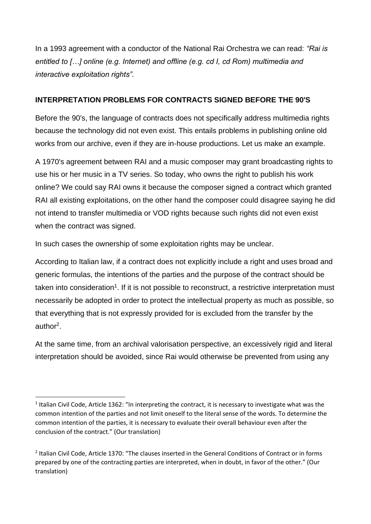In a 1993 agreement with a conductor of the National Rai Orchestra we can read: *"Rai is entitled to […] online (e.g. Internet) and offline (e.g. cd I, cd Rom) multimedia and interactive exploitation rights".*

## **INTERPRETATION PROBLEMS FOR CONTRACTS SIGNED BEFORE THE 90'S**

Before the 90's, the language of contracts does not specifically address multimedia rights because the technology did not even exist. This entails problems in publishing online old works from our archive, even if they are in-house productions. Let us make an example.

A 1970's agreement between RAI and a music composer may grant broadcasting rights to use his or her music in a TV series. So today, who owns the right to publish his work online? We could say RAI owns it because the composer signed a contract which granted RAI all existing exploitations, on the other hand the composer could disagree saying he did not intend to transfer multimedia or VOD rights because such rights did not even exist when the contract was signed.

In such cases the ownership of some exploitation rights may be unclear.

According to Italian law, if a contract does not explicitly include a right and uses broad and generic formulas, the intentions of the parties and the purpose of the contract should be taken into consideration<sup>1</sup>. If it is not possible to reconstruct, a restrictive interpretation must necessarily be adopted in order to protect the intellectual property as much as possible, so that everything that is not expressly provided for is excluded from the transfer by the author<sup>2</sup>.

At the same time, from an archival valorisation perspective, an excessively rigid and literal interpretation should be avoided, since Rai would otherwise be prevented from using any

<sup>&</sup>lt;sup>1</sup> Italian Civil Code, Article 1362: "In interpreting the contract, it is necessary to investigate what was the common intention of the parties and not limit oneself to the literal sense of the words. To determine the common intention of the parties, it is necessary to evaluate their overall behaviour even after the conclusion of the contract." (Our translation)

<sup>&</sup>lt;sup>2</sup> Italian Civil Code, Article 1370: "The clauses inserted in the General Conditions of Contract or in forms prepared by one of the contracting parties are interpreted, when in doubt, in favor of the other." (Our translation)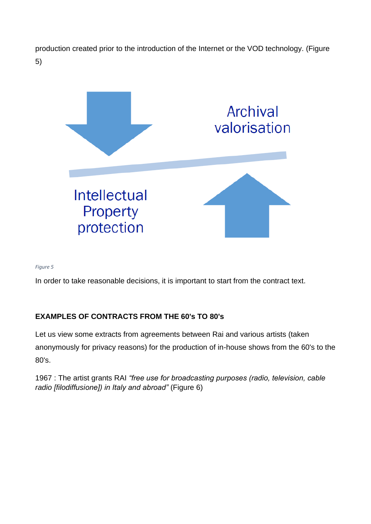production created prior to the introduction of the Internet or the VOD technology. (Figure 5)



*Figure 5*

In order to take reasonable decisions, it is important to start from the contract text.

# **EXAMPLES OF CONTRACTS FROM THE 60's TO 80's**

Let us view some extracts from agreements between Rai and various artists (taken anonymously for privacy reasons) for the production of in-house shows from the 60's to the 80's.

1967 : The artist grants RAI *"free use for broadcasting purposes (radio, television, cable radio [filodiffusione]) in Italy and abroad"* (Figure 6)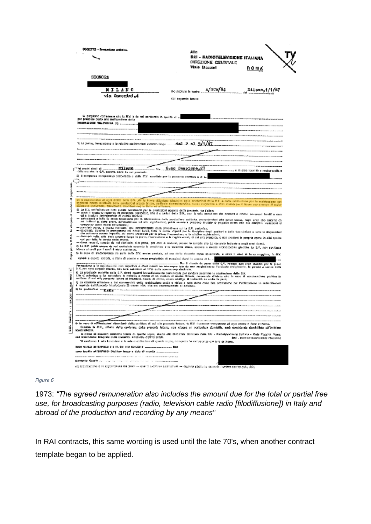| QGGETTO - Presiazione asiates.                                                                                                                                                                                    | Alla                                                                                                                                                                                                                                                                                          |
|-------------------------------------------------------------------------------------------------------------------------------------------------------------------------------------------------------------------|-----------------------------------------------------------------------------------------------------------------------------------------------------------------------------------------------------------------------------------------------------------------------------------------------|
|                                                                                                                                                                                                                   | RAI - RADIOTELEVISIONE ITALIANA                                                                                                                                                                                                                                                               |
|                                                                                                                                                                                                                   | DIREZIONE GENERALE<br>Viale Mozzini<br>ROMA                                                                                                                                                                                                                                                   |
|                                                                                                                                                                                                                   |                                                                                                                                                                                                                                                                                               |
| SIGNORA                                                                                                                                                                                                           |                                                                                                                                                                                                                                                                                               |
| NILANO                                                                                                                                                                                                            | A/SCR/84<br>äilano, 1/1/67                                                                                                                                                                                                                                                                    |
| via Osmerini 4                                                                                                                                                                                                    | No ricovulo la vostra                                                                                                                                                                                                                                                                         |
|                                                                                                                                                                                                                   | cel sequente tenare:                                                                                                                                                                                                                                                                          |
|                                                                                                                                                                                                                   |                                                                                                                                                                                                                                                                                               |
| . Is estimate contempore the la S.V. In the net security in quality of a<br>por prandere parto ollo roalizzazione dalla                                                                                           |                                                                                                                                                                                                                                                                                               |
| PRODUZIONE TELEVISIVA (0)                                                                                                                                                                                         |                                                                                                                                                                                                                                                                                               |
|                                                                                                                                                                                                                   |                                                                                                                                                                                                                                                                                               |
|                                                                                                                                                                                                                   |                                                                                                                                                                                                                                                                                               |
| prove. Fesecuzione a le relativo ragistrazioni avranno facqui                                                                                                                                                     | 1/67                                                                                                                                                                                                                                                                                          |
|                                                                                                                                                                                                                   |                                                                                                                                                                                                                                                                                               |
|                                                                                                                                                                                                                   |                                                                                                                                                                                                                                                                                               |
| Milaro<br>'el contri stadi di<br>Me                                                                                                                                                                               | C.sc Sempione, 27                                                                                                                                                                                                                                                                             |
| Sila ara che in C.V. necota ciano du rei provincia.                                                                                                                                                               | O.<br>in also focalità a regita codita e                                                                                                                                                                                                                                                      |
| 2) il ottriperiab identificativo concertato e dalla S.V. scrattato por la passante vertitara è di Li                                                                                                              |                                                                                                                                                                                                                                                                                               |
|                                                                                                                                                                                                                   |                                                                                                                                                                                                                                                                                               |
|                                                                                                                                                                                                                   |                                                                                                                                                                                                                                                                                               |
|                                                                                                                                                                                                                   | et à compandre el ogni avito cons 5.V. air la libra d'Autom talavisiva delle anatorina della S.V. a coda rehistoriano per la registrazione con                                                                                                                                                |
| districts estimate, televisional filodificatore) in Italia ed all'actore,                                                                                                                                         | qualitati nozzo cilittista delle predzioni plezza (dism. palloda cirematteralo), nicita nigvetico e alto mataj per il tituro seo a osopo di noto-                                                                                                                                             |
| d) La B.V. nell'effettuare justo quanta nocassanto par le presiszioni aggotto defia penente, pa l'altro:                                                                                                          | reate il vegliato nobistio di dospione perionalo, che è a metati della S.V., con la Sala assosione del costumi a relativi enversori forsiti a cara                                                                                                                                            |
| 44 a giudizio insindatabile di cuosto Società:                                                                                                                                                                    | - fatkačnih a teža io fram mideranim par la alfilizirano dele produciora suddoka, povembroled ale provo akuas, regli prem kre salzirab Ca                                                                                                                                                     |
| companzo come sepre concontinui;<br>- premierá parto, a nosita fidikais, ella presentaziona della prodaziona pullia S.V. partoplato                                                                               | ad infinal is debt prove, all'essentions ad als repletations, pack excuses previou invisio a pagada extra cap på competit ratioclera al                                                                                                                                                       |
| the potentia access importive and restrict learning for in process frequentiers in the relation explaination);                                                                                                    | - estatută, dutinis îs permanenza na nesti lucai, fatis la name vigenii per la fineiplim dogli audiori a data transiciloni e iuto la disposizioni                                                                                                                                             |
| coll per fetta la durata delle attesse:                                                                                                                                                                           | - diedned velle mits does awante Sega in preve, Portraciono e la registrazion, el cal cità prenato, e nas preseno la propria opara la altri system                                                                                                                                            |
|                                                                                                                                                                                                                   | — Cours recorsi, quands da nel richissis, alle grove, por abiti o costumi, passe le sadorie ato La versaco indente a megli croni ficonti.<br>O La R.V. pebà attore da moi profoziale accorda la condizioni e la madaltà diuso, qualque a messe framazoabile giudzia, la S.V. por riptifasse   |
| ideves al casti por il quali è stata scritterata.                                                                                                                                                                 | Si la tama di inadocrofanza da paté della S.V. anche partiale, ad ere date elemente sepez specificate, e cabo li seco di ferra reggiora, in 8.V.                                                                                                                                              |
| nghfith a gunda scolat). I fíola dí panais a sanca progladada di magyinni duran la parrora di L. .                                                                                                                |                                                                                                                                                                                                                                                                                               |
|                                                                                                                                                                                                                   | Par I ritardo de perto chilin C.V. riopado agli crari chibilità por le preve<br>l'estadore a la lagislación, um mercion a dosi ninus no comune tels de non progledicarse l'ordinale exiginante, la ganda e carlo della                                                                        |
| 3-V, por egri etrgolo ritardo, nos avià superiore al 10% della perena copraiadirate.<br>9) La propincia materia della S.7, dovrà esserei inmediaterante comunicata per rendera passibilo la scolimenta della S.V. |                                                                                                                                                                                                                                                                                               |
| sofízion di osi ella presento icitata al Istandori duale di dellto, cosco obtiligo di Isdaerità da anda in pani,                                                                                                  | Cle c autoriza e la considere la malatin a masso di un modico di modici. Nuovo, famoresto d'interce che in coso di conciviazione positivo lo                                                                                                                                                  |
| a regelata dell'Accordo Interfedenzio 22 marze 1995, che goi espressonente di sichiano.                                                                                                                           | D La cessione all'intere a ini commerciati della registaziona avalo e sideo o sulo video dolla Bra prestazione per l'attitzazione in sudiedificiati                                                                                                                                           |
| g is patiented - name                                                                                                                                                                                             |                                                                                                                                                                                                                                                                                               |
|                                                                                                                                                                                                                   |                                                                                                                                                                                                                                                                                               |
|                                                                                                                                                                                                                   |                                                                                                                                                                                                                                                                                               |
|                                                                                                                                                                                                                   |                                                                                                                                                                                                                                                                                               |
|                                                                                                                                                                                                                   |                                                                                                                                                                                                                                                                                               |
|                                                                                                                                                                                                                   | 4 In 1990 O Officelazioni dipendenti della ceribara di sui alla prassola lettara, ia RN. riconnome componesto ad ugni ottatto il furo di Pane.<br>Quaism in E.V., alfato della conterna della presente lettera, son elegga un periosiare domicilie, and considerate domiciliate adl'infisiane |
| sopraindicato.<br>cos arabinzione antigrate della presenta, sordivero digitati setuti.                                                                                                                            | та атека от можете совтема запаш от двиго зарив, виста ата слизнове селовао села пов - посладавание рульму - Vigge Maggini, Перио,<br><b>RAI - RACIOTERZUSIONSE MALSARA</b>                                                                                                                   |
| W conformo 1 mio koncelare e la mia specificatoro di quento copra, compreta la compagniza (3) foro di Réma.                                                                                                       |                                                                                                                                                                                                                                                                                               |
| 8060 SENSO ANTERNACIO e O M. CO NIO GOVEZO O Anternacional Mon                                                                                                                                                    |                                                                                                                                                                                                                                                                                               |
|                                                                                                                                                                                                                   |                                                                                                                                                                                                                                                                                               |
| <b>Constitution of COV ASSAULT CONTRACTOR</b> CONTRACTOR COMPANY CONTRACTOR CONTRACTOR CONTRACTOR CONTRACTOR                                                                                                      |                                                                                                                                                                                                                                                                                               |

*Figure 6*

1973: *"The agreed remuneration also includes the amount due for the total or partial free use, for broadcasting purposes (radio, television cable radio [filodiffusione]) in Italy and abroad of the production and recording by any means"*

In RAI contracts, this same wording is used until the late 70's, when another contract template began to be applied.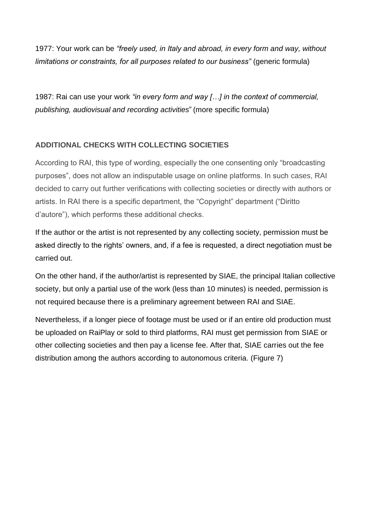1977: Your work can be *"freely used, in Italy and abroad, in every form and way, without limitations or constraints, for all purposes related to our business"* (generic formula)

1987: Rai can use your work *"in every form and way […] in the context of commercial, publishing, audiovisual and recording activities*" (more specific formula)

# **ADDITIONAL CHECKS WITH COLLECTING SOCIETIES**

According to RAI, this type of wording, especially the one consenting only "broadcasting purposes", does not allow an indisputable usage on online platforms. In such cases, RAI decided to carry out further verifications with collecting societies or directly with authors or artists. In RAI there is a specific department, the "Copyright" department ("Diritto d'autore"), which performs these additional checks.

If the author or the artist is not represented by any collecting society, permission must be asked directly to the rights' owners, and, if a fee is requested, a direct negotiation must be carried out.

On the other hand, if the author/artist is represented by SIAE, the principal Italian collective society, but only a partial use of the work (less than 10 minutes) is needed, permission is not required because there is a preliminary agreement between RAI and SIAE.

Nevertheless, if a longer piece of footage must be used or if an entire old production must be uploaded on RaiPlay or sold to third platforms, RAI must get permission from SIAE or other collecting societies and then pay a license fee. After that, SIAE carries out the fee distribution among the authors according to autonomous criteria. (Figure 7)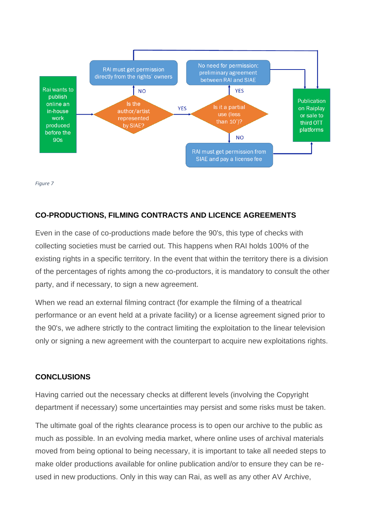

*Figure 7*

## **CO-PRODUCTIONS, FILMING CONTRACTS AND LICENCE AGREEMENTS**

Even in the case of co-productions made before the 90's, this type of checks with collecting societies must be carried out. This happens when RAI holds 100% of the existing rights in a specific territory. In the event that within the territory there is a division of the percentages of rights among the co-productors, it is mandatory to consult the other party, and if necessary, to sign a new agreement.

When we read an external filming contract (for example the filming of a theatrical performance or an event held at a private facility) or a license agreement signed prior to the 90's, we adhere strictly to the contract limiting the exploitation to the linear television only or signing a new agreement with the counterpart to acquire new exploitations rights.

#### **CONCLUSIONS**

Having carried out the necessary checks at different levels (involving the Copyright department if necessary) some uncertainties may persist and some risks must be taken.

The ultimate goal of the rights clearance process is to open our archive to the public as much as possible. In an evolving media market, where online uses of archival materials moved from being optional to being necessary, it is important to take all needed steps to make older productions available for online publication and/or to ensure they can be reused in new productions. Only in this way can Rai, as well as any other AV Archive,